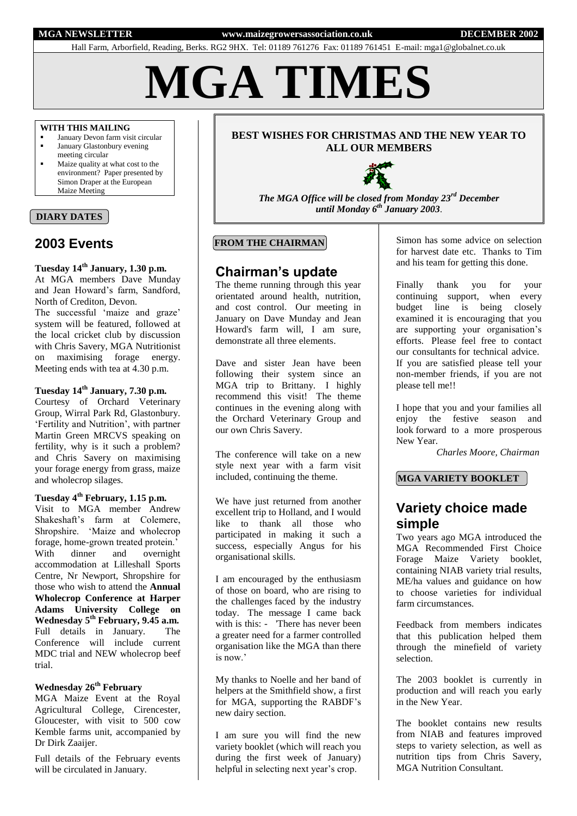**MGA NEWSLETTER www.maizegrowersassociation.co.uk DECEMBER 2002** 

Hall Farm, Arborfield, Reading, Berks. RG2 9HX. Tel: 01189 761276 Fax: 01189 761451 E-mail: mga1@globalnet.co.uk

**MGA TIMES**

#### **WITH THIS MAILING**

- January Devon farm visit circular
- **January Glastonbury evening**
- meeting circular Maize quality at what cost to the environment? Paper presented by Simon Draper at the European Maize Meeting

#### **DIARY DATES**

## **2003 Events**

**Tuesday 14th January, 1.30 p.m.** At MGA members Dave Munday and Jean Howard's farm, Sandford, North of Crediton, Devon.

The successful 'maize and graze' system will be featured, followed at the local cricket club by discussion with Chris Savery, MGA Nutritionist on maximising forage energy. Meeting ends with tea at 4.30 p.m.

### **Tuesday 14th January, 7.30 p.m.**

Courtesy of Orchard Veterinary Group, Wirral Park Rd, Glastonbury. 'Fertility and Nutrition', with partner Martin Green MRCVS speaking on fertility, why is it such a problem? and Chris Savery on maximising your forage energy from grass, maize and wholecrop silages.

#### **Tuesday 4th February, 1.15 p.m.**

Visit to MGA member Andrew Shakeshaft's farm at Colemere, Shropshire. 'Maize and wholecrop forage, home-grown treated protein.' With dinner and overnight accommodation at Lilleshall Sports Centre, Nr Newport, Shropshire for those who wish to attend the **Annual Wholecrop Conference at Harper Adams University College on Wednesday 5th February, 9.45 a.m.** Full details in January. The Conference will include current MDC trial and NEW wholecrop beef trial.

#### **Wednesday 26th February**

MGA Maize Event at the Royal Agricultural College, Cirencester, Gloucester, with visit to 500 cow Kemble farms unit, accompanied by Dr Dirk Zaaijer.

Full details of the February events will be circulated in January.

#### **BEST WISHES FOR CHRISTMAS AND THE NEW YEAR TO ALL OUR MEMBERS**



*The MGA Office will be closed from Monday 23rd December until Monday 6th January 2003*.

### **FROM THE CHAIRMAN**

## **Chairman's update**

The theme running through this year orientated around health, nutrition, and cost control. Our meeting in January on Dave Munday and Jean Howard's farm will, I am sure, demonstrate all three elements.

Dave and sister Jean have been following their system since an MGA trip to Brittany. I highly recommend this visit! The theme continues in the evening along with the Orchard Veterinary Group and our own Chris Savery.

The conference will take on a new style next year with a farm visit included, continuing the theme.

We have just returned from another excellent trip to Holland, and I would like to thank all those who participated in making it such a success, especially Angus for his organisational skills.

I am encouraged by the enthusiasm of those on board, who are rising to the challenges faced by the industry today. The message I came back with is this: - There has never been a greater need for a farmer controlled organisation like the MGA than there is now.'

My thanks to Noelle and her band of helpers at the Smithfield show, a first for MGA, supporting the RABDF's new dairy section.

I am sure you will find the new variety booklet (which will reach you during the first week of January) helpful in selecting next year's crop.

Simon has some advice on selection for harvest date etc. Thanks to Tim and his team for getting this done.

Finally thank you for your continuing support, when every budget line is being closely examined it is encouraging that you are supporting your organisation's efforts. Please feel free to contact our consultants for technical advice. If you are satisfied please tell your non-member friends, if you are not please tell me!!

I hope that you and your families all enjoy the festive season and look forward to a more prosperous New Year.

*Charles Moore, Chairman*

#### **MGA VARIETY BOOKLET**

# **Variety choice made simple**

Two years ago MGA introduced the MGA Recommended First Choice Forage Maize Variety booklet, containing NIAB variety trial results, ME/ha values and guidance on how to choose varieties for individual farm circumstances.

Feedback from members indicates that this publication helped them through the minefield of variety selection.

The 2003 booklet is currently in production and will reach you early in the New Year.

The booklet contains new results from NIAB and features improved steps to variety selection, as well as nutrition tips from Chris Savery, MGA Nutrition Consultant.